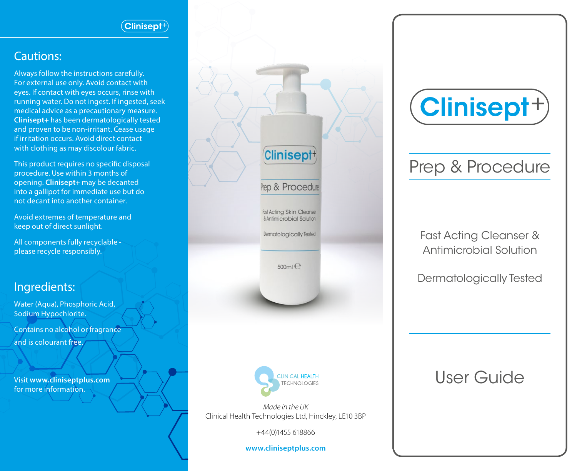#### $\overline{\text{Clinisent}}{}^{\scriptscriptstyle +}$

#### Cautions:

Always follow the instructions carefully. For external use only. Avoid contact with eyes. If contact with eyes occurs, rinse with running water. Do not ingest. If ingested, seek medical advice as a precautionary measure. **Clinisept+** has been dermatologically tested and proven to be non-irritant. Cease usage if irritation occurs. Avoid direct contact with clothing as may discolour fabric.

This product requires no specific disposal procedure. Use within 3 months of opening. **Clinisept+** may be decanted into a gallipot for immediate use but do not decant into another container.

Avoid extremes of temperature and keep out of direct sunlight.

All components fully recyclable please recycle responsibly.

### Ingredients:

Water (Aqua), Phosphoric Acid, Sodium Hypochlorite. Contains no alcohol or fragrance and is colourant free.

Visit **www.cliniseptplus.com** for more information.





*Made in the UK*  Clinical Health Technologies Ltd, Hinckley, LE10 3BP

+44(0)1455 618866

**www.cliniseptplus.com**



# Prep & Procedure

Fast Acting Cleanser & Antimicrobial Solution

Dermatologically Tested

## User Guide